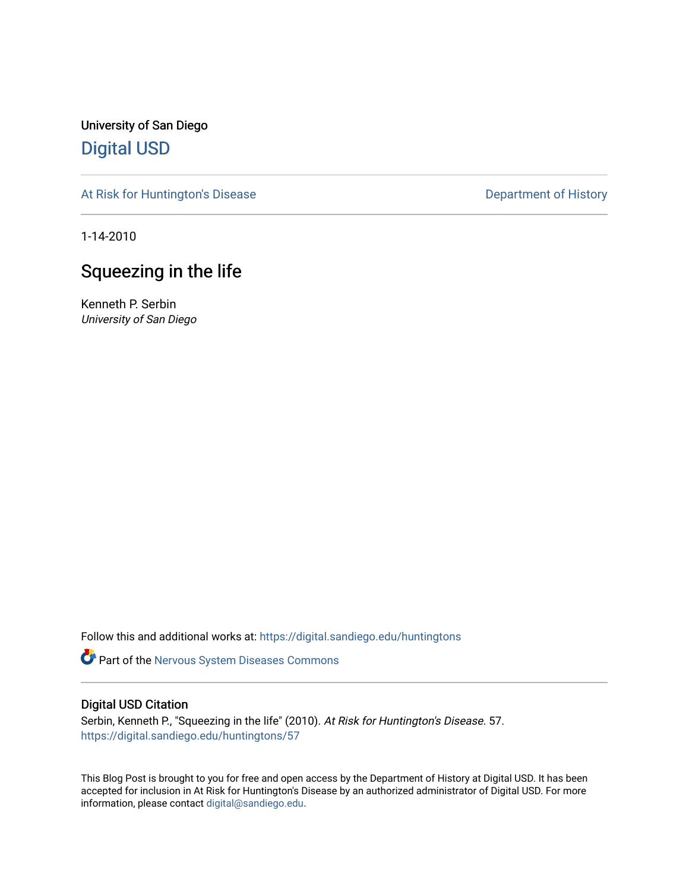University of San Diego [Digital USD](https://digital.sandiego.edu/)

[At Risk for Huntington's Disease](https://digital.sandiego.edu/huntingtons) **Department of History** Department of History

1-14-2010

## Squeezing in the life

Kenneth P. Serbin University of San Diego

Follow this and additional works at: [https://digital.sandiego.edu/huntingtons](https://digital.sandiego.edu/huntingtons?utm_source=digital.sandiego.edu%2Fhuntingtons%2F57&utm_medium=PDF&utm_campaign=PDFCoverPages)

Part of the [Nervous System Diseases Commons](http://network.bepress.com/hgg/discipline/928?utm_source=digital.sandiego.edu%2Fhuntingtons%2F57&utm_medium=PDF&utm_campaign=PDFCoverPages)

### Digital USD Citation

Serbin, Kenneth P., "Squeezing in the life" (2010). At Risk for Huntington's Disease. 57. [https://digital.sandiego.edu/huntingtons/57](https://digital.sandiego.edu/huntingtons/57?utm_source=digital.sandiego.edu%2Fhuntingtons%2F57&utm_medium=PDF&utm_campaign=PDFCoverPages)

This Blog Post is brought to you for free and open access by the Department of History at Digital USD. It has been accepted for inclusion in At Risk for Huntington's Disease by an authorized administrator of Digital USD. For more information, please contact [digital@sandiego.edu.](mailto:digital@sandiego.edu)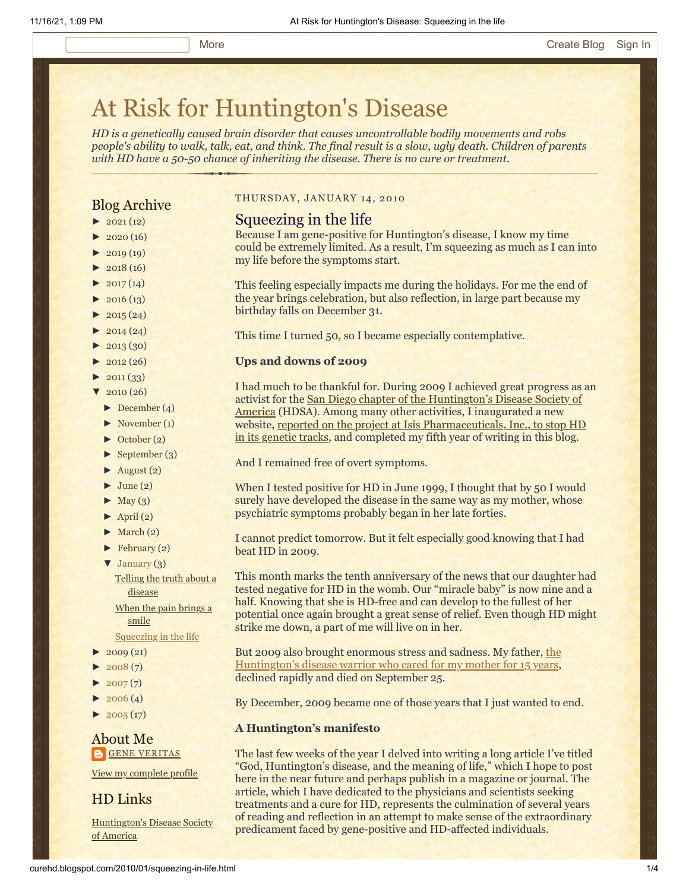# [At Risk for Huntington's Disease](http://curehd.blogspot.com/)

*HD is a genetically caused brain disorder that causes uncontrollable bodily movements and robs people's ability to walk, talk, eat, and think. The final result is a slow, ugly death. Children of parents with HD have a 50-50 chance of inheriting the disease. There is no cure or treatment.*

### Blog Archive

- $\blacktriangleright$  [2021](http://curehd.blogspot.com/2021/) (12)
- $2020(16)$  $2020(16)$
- $\blacktriangleright$  [2019](http://curehd.blogspot.com/2019/) (19)
- $\blacktriangleright$  [2018](http://curehd.blogspot.com/2018/) (16)
- $2017(14)$  $2017(14)$
- $2016(13)$  $2016(13)$
- $\blacktriangleright$  [2015](http://curehd.blogspot.com/2015/) (24)
- $\blacktriangleright$  [2014](http://curehd.blogspot.com/2014/) (24)
- $\blacktriangleright$  [2013](http://curehd.blogspot.com/2013/) (30)
- $\blacktriangleright$  [2012](http://curehd.blogspot.com/2012/) (26)
- $\blacktriangleright$  [2011](http://curehd.blogspot.com/2011/) (33)
- $\sqrt{2010(26)}$  $\sqrt{2010(26)}$  $\sqrt{2010(26)}$ 
	- [►](javascript:void(0)) [December](http://curehd.blogspot.com/2010/12/) (4)
	- [►](javascript:void(0)) [November](http://curehd.blogspot.com/2010/11/) (1)
	- [►](javascript:void(0)) [October](http://curehd.blogspot.com/2010/10/) (2)
	- [►](javascript:void(0)) [September](http://curehd.blogspot.com/2010/09/) (3)
	- $\blacktriangleright$  [August](http://curehd.blogspot.com/2010/08/) (2)
	- $\blacktriangleright$  [June](http://curehd.blogspot.com/2010/06/) (2)
	- $\blacktriangleright$  [May](http://curehd.blogspot.com/2010/05/) (3)
	- $\blacktriangleright$  [April](http://curehd.blogspot.com/2010/04/) (2)
	- $\blacktriangleright$  [March](http://curehd.blogspot.com/2010/03/) (2)
	- $\blacktriangleright$  [February](http://curehd.blogspot.com/2010/02/) (2)
	- [▼](javascript:void(0)) [January](http://curehd.blogspot.com/2010/01/) (3)

Telling the truth about a [disease](http://curehd.blogspot.com/2010/01/telling-truth-about-disease.html)

When the pain [brings](http://curehd.blogspot.com/2010/01/when-pain-brings-smile.html) a smile

[Squeezing](http://curehd.blogspot.com/2010/01/squeezing-in-life.html) in the life

- $\blacktriangleright$  [2009](http://curehd.blogspot.com/2009/) (21)
- $2008(7)$  $2008(7)$
- $\blacktriangleright$  [2007](http://curehd.blogspot.com/2007/) $(7)$
- $\blacktriangleright$  [2006](http://curehd.blogspot.com/2006/) (4)
- $2005(17)$  $2005(17)$

### About Me **GENE [VERITAS](https://www.blogger.com/profile/10911736205741688185)**

View my [complete](https://www.blogger.com/profile/10911736205741688185) profile

HD Links

[Huntington's](http://www.hdsa.org/) Disease Society of America

### THURSDAY, JANUARY 14, 2010

### Squeezing in the life

Because I am gene-positive for Huntington's disease, I know my time could be extremely limited. As a result, I'm squeezing as much as I can into my life before the symptoms start.

This feeling especially impacts me during the holidays. For me the end of the year brings celebration, but also reflection, in large part because my birthday falls on December 31.

This time I turned 50, so I became especially contemplative.

### **Ups and downs of 2009**

I had much to be thankful for. During 2009 I achieved great progress as an [activist for the San Diego chapter of the Huntington's Disease Society of](http://www.hdsasandiego.org/) America (HDSA). Among many other activities, I inaugurated a new [website, reported on the project at Isis Pharmaceuticals, Inc., to stop HD](http://www.hdsasandiego.org/aev-41.aspx) in its genetic tracks, and completed my fifth year of writing in this blog.

And I remained free of overt symptoms.

When I tested positive for HD in June 1999, I thought that by 50 I would surely have developed the disease in the same way as my mother, whose psychiatric symptoms probably began in her late forties.

I cannot predict tomorrow. But it felt especially good knowing that I had beat HD in 2009.

This month marks the tenth anniversary of the news that our daughter had tested negative for HD in the womb. Our "miracle baby" is now nine and a half. Knowing that she is HD-free and can develop to the fullest of her potential once again brought a great sense of relief. Even though HD might strike me down, a part of me will live on in her.

But 2009 also brought enormous stress and sadness. My father, the [Huntington's disease warrior who cared for my mother for 15 years,](http://curehd.blogspot.com/2009/10/experiment-and-death.html) declined rapidly and died on September 25.

By December, 2009 became one of those years that I just wanted to end.

#### **A Huntington's manifesto**

The last few weeks of the year I delved into writing a long article I've titled "God, Huntington's disease, and the meaning of life," which I hope to post here in the near future and perhaps publish in a magazine or journal. The article, which I have dedicated to the physicians and scientists seeking treatments and a cure for HD, represents the culmination of several years of reading and reflection in an attempt to make sense of the extraordinary predicament faced by gene-positive and HD-affected individuals.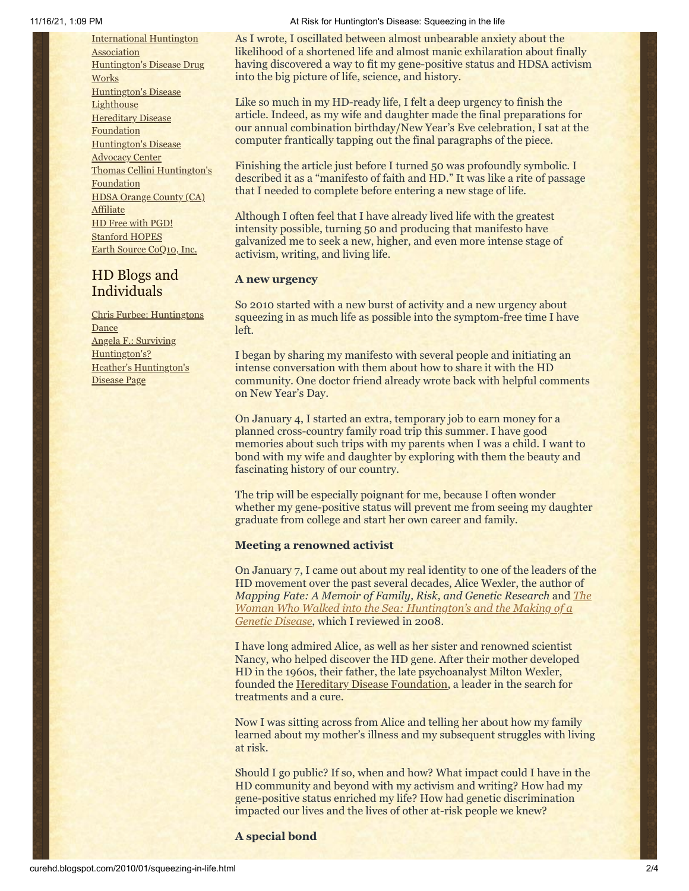[International](http://www.huntington-assoc.com/) Huntington **Association** [Huntington's](http://hddrugworks.org/) Disease Drug **Works** [Huntington's](http://www.hdlighthouse.org/) Disease **Lighthouse [Hereditary](http://www.hdfoundation.org/) Disease Foundation** [Huntington's](http://www.hdac.org/) Disease Advocacy Center Thomas [Cellini Huntington's](http://www.ourtchfoundation.org/) **Foundation** HDSA Orange County (CA) **[Affiliate](http://www.hdsaoc.org/)** HD Free with [PGD!](http://www.hdfreewithpgd.com/) [Stanford](http://www.stanford.edu/group/hopes/) HOPES Earth Source [CoQ10,](http://www.escoq10.com/) Inc.

### HD Blogs and Individuals

Chris Furbee: [Huntingtons](http://www.huntingtonsdance.org/) Dance Angela F.: Surviving [Huntington's?](http://survivinghuntingtons.blogspot.com/) Heather's [Huntington's](http://heatherdugdale.angelfire.com/) Disease Page

#### 11/16/21, 1:09 PM At Risk for Huntington's Disease: Squeezing in the life

As I wrote, I oscillated between almost unbearable anxiety about the likelihood of a shortened life and almost manic exhilaration about finally having discovered a way to fit my gene-positive status and HDSA activism into the big picture of life, science, and history.

Like so much in my HD-ready life, I felt a deep urgency to finish the article. Indeed, as my wife and daughter made the final preparations for our annual combination birthday/New Year's Eve celebration, I sat at the computer frantically tapping out the final paragraphs of the piece.

Finishing the article just before I turned 50 was profoundly symbolic. I described it as a "manifesto of faith and HD." It was like a rite of passage that I needed to complete before entering a new stage of life.

Although I often feel that I have already lived life with the greatest intensity possible, turning 50 and producing that manifesto have galvanized me to seek a new, higher, and even more intense stage of activism, writing, and living life.

### **A new urgency**

So 2010 started with a new burst of activity and a new urgency about squeezing in as much life as possible into the symptom-free time I have left.

I began by sharing my manifesto with several people and initiating an intense conversation with them about how to share it with the HD community. One doctor friend already wrote back with helpful comments on New Year's Day.

On January 4, I started an extra, temporary job to earn money for a planned cross-country family road trip this summer. I have good memories about such trips with my parents when I was a child. I want to bond with my wife and daughter by exploring with them the beauty and fascinating history of our country.

The trip will be especially poignant for me, because I often wonder whether my gene-positive status will prevent me from seeing my daughter graduate from college and start her own career and family.

#### **Meeting a renowned activist**

On January 7, I came out about my real identity to one of the leaders of the HD movement over the past several decades, Alice Wexler, the author of *Mapping Fate: A Memoir of Family, Risk, and Genetic Research* and *The [Woman Who Walked into the Sea: Huntington's and the Making of a](http://curehd.blogspot.com/2008/08/roots-of-our-stigma.html) Genetic Disease*, which I reviewed in 2008.

I have long admired Alice, as well as her sister and renowned scientist Nancy, who helped discover the HD gene. After their mother developed HD in the 1960s, their father, the late psychoanalyst Milton Wexler, founded the [Hereditary Disease Foundation,](http://www.hdfoundation.org/home.php) a leader in the search for treatments and a cure.

Now I was sitting across from Alice and telling her about how my family learned about my mother's illness and my subsequent struggles with living at risk.

Should I go public? If so, when and how? What impact could I have in the HD community and beyond with my activism and writing? How had my gene-positive status enriched my life? How had genetic discrimination impacted our lives and the lives of other at-risk people we knew?

**A special bond**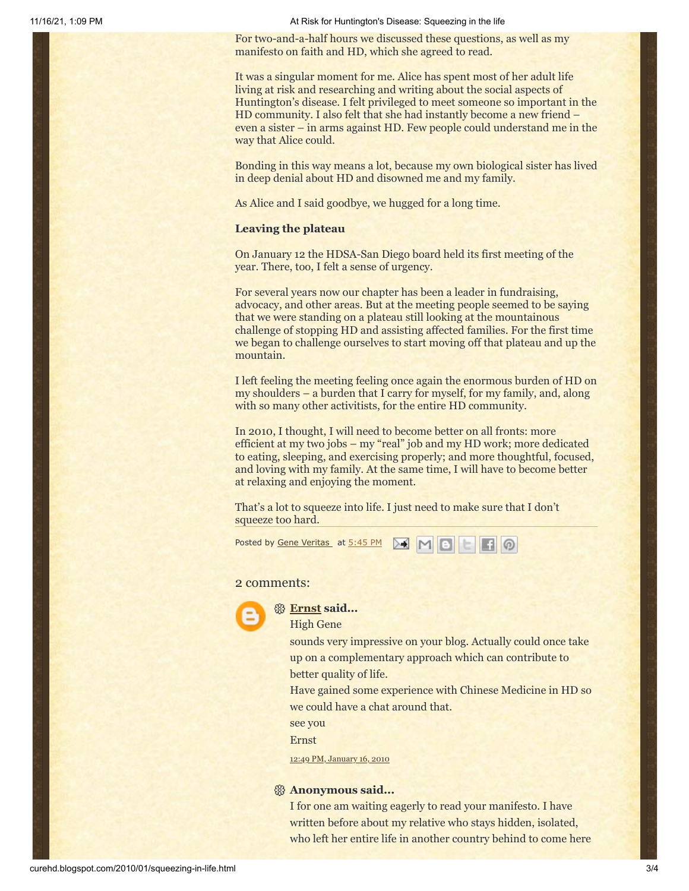11/16/21, 1:09 PM At Risk for Huntington's Disease: Squeezing in the life

For two-and-a-half hours we discussed these questions, as well as my manifesto on faith and HD, which she agreed to read.

It was a singular moment for me. Alice has spent most of her adult life living at risk and researching and writing about the social aspects of Huntington's disease. I felt privileged to meet someone so important in the HD community. I also felt that she had instantly become a new friend – even a sister – in arms against HD. Few people could understand me in the way that Alice could.

Bonding in this way means a lot, because my own biological sister has lived in deep denial about HD and disowned me and my family.

As Alice and I said goodbye, we hugged for a long time.

### **Leaving the plateau**

On January 12 the HDSA-San Diego board held its first meeting of the year. There, too, I felt a sense of urgency.

For several years now our chapter has been a leader in fundraising, advocacy, and other areas. But at the meeting people seemed to be saying that we were standing on a plateau still looking at the mountainous challenge of stopping HD and assisting affected families. For the first time we began to challenge ourselves to start moving off that plateau and up the mountain.

I left feeling the meeting feeling once again the enormous burden of HD on my shoulders – a burden that I carry for myself, for my family, and, along with so many other activitists, for the entire HD community.

In 2010, I thought, I will need to become better on all fronts: more efficient at my two jobs – my "real" job and my HD work; more dedicated to eating, sleeping, and exercising properly; and more thoughtful, focused, and loving with my family. At the same time, I will have to become better at relaxing and enjoying the moment.

That's a lot to squeeze into life. I just need to make sure that I don't squeeze too hard.

Posted by <u>Gene [Veritas](https://www.blogger.com/profile/03599828959793084715)</u> at <u>[5:45](http://curehd.blogspot.com/2010/01/squeezing-in-life.html) PM **A**</u> M B E F **A** 

### 2 comments:



### **[Ernst](https://www.blogger.com/profile/16569670621067217152) said...**

High Gene

sounds very impressive on your blog. Actually could once take up on a complementary approach which can contribute to better quality of life.

Have gained some experience with Chinese Medicine in HD so we could have a chat around that.

see you

Ernst

12:49 PM, [January](http://curehd.blogspot.com/2010/01/squeezing-in-life.html?showComment=1263674971868#c2119814924088586334) 16, 2010

### **Anonymous said...**

I for one am waiting eagerly to read your manifesto. I have written before about my relative who stays hidden, isolated, who left her entire life in another country behind to come here